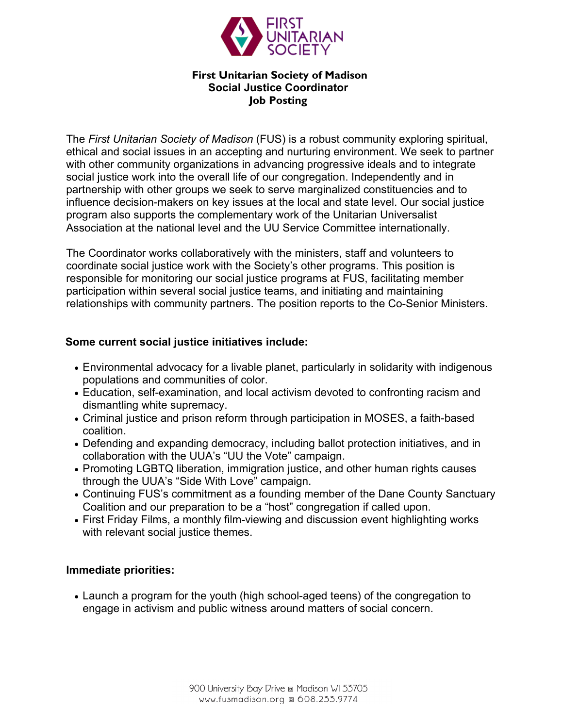

### **First Unitarian Society of Madison Social Justice Coordinator Job Posting**

The *First Unitarian Society of Madison* (FUS) is a robust community exploring spiritual, ethical and social issues in an accepting and nurturing environment. We seek to partner with other community organizations in advancing progressive ideals and to integrate social justice work into the overall life of our congregation. Independently and in partnership with other groups we seek to serve marginalized constituencies and to influence decision-makers on key issues at the local and state level. Our social justice program also supports the complementary work of the Unitarian Universalist Association at the national level and the UU Service Committee internationally.

The Coordinator works collaboratively with the ministers, staff and volunteers to coordinate social justice work with the Society's other programs. This position is responsible for monitoring our social justice programs at FUS, facilitating member participation within several social justice teams, and initiating and maintaining relationships with community partners. The position reports to the Co-Senior Ministers.

## **Some current social justice initiatives include:**

- Environmental advocacy for a livable planet, particularly in solidarity with indigenous populations and communities of color.
- Education, self-examination, and local activism devoted to confronting racism and dismantling white supremacy.
- Criminal justice and prison reform through participation in MOSES, a faith-based coalition.
- Defending and expanding democracy, including ballot protection initiatives, and in collaboration with the UUA's "UU the Vote" campaign.
- Promoting LGBTQ liberation, immigration justice, and other human rights causes through the UUA's "Side With Love" campaign.
- Continuing FUS's commitment as a founding member of the Dane County Sanctuary Coalition and our preparation to be a "host" congregation if called upon.
- First Friday Films, a monthly film-viewing and discussion event highlighting works with relevant social justice themes.

### **Immediate priorities:**

• Launch a program for the youth (high school-aged teens) of the congregation to engage in activism and public witness around matters of social concern.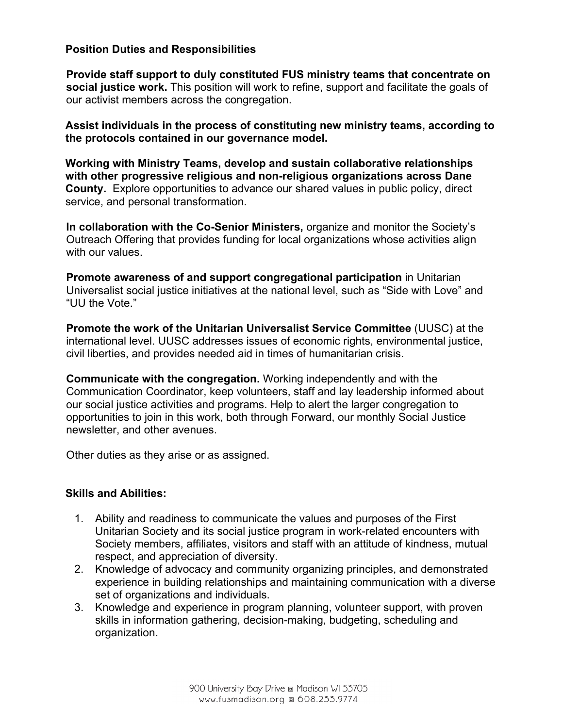## **Position Duties and Responsibilities**

**Provide staff support to duly constituted FUS ministry teams that concentrate on social justice work.** This position will work to refine, support and facilitate the goals of our activist members across the congregation.

**Assist individuals in the process of constituting new ministry teams, according to the protocols contained in our governance model.**

**Working with Ministry Teams, develop and sustain collaborative relationships with other progressive religious and non-religious organizations across Dane County.** Explore opportunities to advance our shared values in public policy, direct service, and personal transformation.

**In collaboration with the Co-Senior Ministers,** organize and monitor the Society's Outreach Offering that provides funding for local organizations whose activities align with our values.

**Promote awareness of and support congregational participation** in Unitarian Universalist social justice initiatives at the national level, such as "Side with Love" and "UU the Vote."

**Promote the work of the Unitarian Universalist Service Committee** (UUSC) at the international level. UUSC addresses issues of economic rights, environmental justice, civil liberties, and provides needed aid in times of humanitarian crisis.

**Communicate with the congregation.** Working independently and with the Communication Coordinator, keep volunteers, staff and lay leadership informed about our social justice activities and programs. Help to alert the larger congregation to opportunities to join in this work, both through Forward, our monthly Social Justice newsletter, and other avenues.

Other duties as they arise or as assigned.

### **Skills and Abilities:**

- 1. Ability and readiness to communicate the values and purposes of the First Unitarian Society and its social justice program in work-related encounters with Society members, affiliates, visitors and staff with an attitude of kindness, mutual respect, and appreciation of diversity.
- 2. Knowledge of advocacy and community organizing principles, and demonstrated experience in building relationships and maintaining communication with a diverse set of organizations and individuals.
- 3. Knowledge and experience in program planning, volunteer support, with proven skills in information gathering, decision-making, budgeting, scheduling and organization.